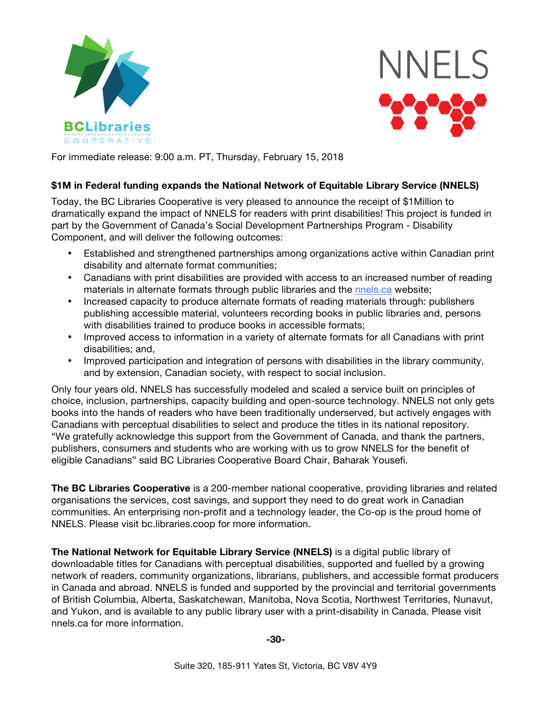



For immediate release: 9:00 a.m. PT, Thursday, February 15, 2018

## **\$1M in Federal funding expands the National Network of Equitable Library Service (NNELS)**

Today, the BC Libraries Cooperative is very pleased to announce the receipt of \$1Million to dramatically expand the impact of NNELS for readers with print disabilities! This project is funded in part by the Government of Canada's Social Development Partnerships Program - Disability Component, and will deliver the following outcomes:

- Established and strengthened partnerships among organizations active within Canadian print disability and alternate format communities;
- Canadians with print disabilities are provided with access to an increased number of reading materials in alternate formats through public libraries and the nnels.ca website;
- Increased capacity to produce alternate formats of reading materials through: publishers publishing accessible material, volunteers recording books in public libraries and, persons with disabilities trained to produce books in accessible formats;
- Improved access to information in a variety of alternate formats for all Canadians with print disabilities; and,
- Improved participation and integration of persons with disabilities in the library community, and by extension, Canadian society, with respect to social inclusion.

Only four years old, NNELS has successfully modeled and scaled a service built on principles of choice, inclusion, partnerships, capacity building and open-source technology. NNELS not only gets books into the hands of readers who have been traditionally underserved, but actively engages with Canadians with perceptual disabilities to select and produce the titles in its national repository. "We gratefully acknowledge this support from the Government of Canada, and thank the partners, publishers, consumers and students who are working with us to grow NNELS for the benefit of eligible Canadians" said BC Libraries Cooperative Board Chair, Baharak Yousefi.

**The BC Libraries Cooperative** is a 200-member national cooperative, providing libraries and related organisations the services, cost savings, and support they need to do great work in Canadian communities. An enterprising non-profit and a technology leader, the Co-op is the proud home of NNELS. Please visit bc.libraries.coop for more information.

**The National Network for Equitable Library Service (NNELS)** is a digital public library of downloadable titles for Canadians with perceptual disabilities, supported and fuelled by a growing network of readers, community organizations, librarians, publishers, and accessible format producers in Canada and abroad. NNELS is funded and supported by the provincial and territorial governments of British Columbia, Alberta, Saskatchewan, Manitoba, Nova Scotia, Northwest Territories, Nunavut, and Yukon, and is available to any public library user with a print-disability in Canada. Please visit nnels.ca for more information.

**-30-**